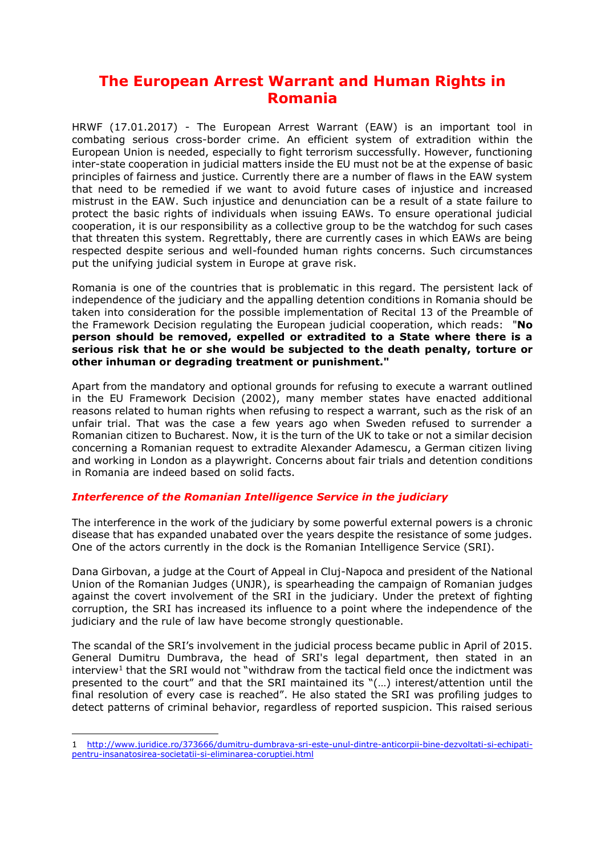## **The European Arrest Warrant and Human Rights in Romania**

HRWF (17.01.2017) - The European Arrest Warrant (EAW) is an important tool in combating serious cross-border crime. An efficient system of extradition within the European Union is needed, especially to fight terrorism successfully. However, functioning inter-state cooperation in judicial matters inside the EU must not be at the expense of basic principles of fairness and justice. Currently there are a number of flaws in the EAW system that need to be remedied if we want to avoid future cases of injustice and increased mistrust in the EAW. Such injustice and denunciation can be a result of a state failure to protect the basic rights of individuals when issuing EAWs. To ensure operational judicial cooperation, it is our responsibility as a collective group to be the watchdog for such cases that threaten this system. Regrettably, there are currently cases in which EAWs are being respected despite serious and well-founded human rights concerns. Such circumstances put the unifying judicial system in Europe at grave risk.

Romania is one of the countries that is problematic in this regard. The persistent lack of independence of the judiciary and the appalling detention conditions in Romania should be taken into consideration for the possible implementation of Recital 13 of the Preamble of the Framework Decision regulating the European judicial cooperation, which reads: "**No person should be removed, expelled or extradited to a State where there is a serious risk that he or she would be subjected to the death penalty, torture or other inhuman or degrading treatment or punishment."** 

Apart from the mandatory and optional grounds for refusing to execute a warrant outlined in the EU Framework Decision (2002), many member states have enacted additional reasons related to human rights when refusing to respect a warrant, such as the risk of an unfair trial. That was the case a few years ago when Sweden refused to surrender a Romanian citizen to Bucharest. Now, it is the turn of the UK to take or not a similar decision concerning a Romanian request to extradite Alexander Adamescu, a German citizen living and working in London as a playwright. Concerns about fair trials and detention conditions in Romania are indeed based on solid facts.

## *Interference of the Romanian Intelligence Service in the judiciary*

The interference in the work of the judiciary by some powerful external powers is a chronic disease that has expanded unabated over the years despite the resistance of some judges. One of the actors currently in the dock is the Romanian Intelligence Service (SRI).

Dana Girbovan, a judge at the Court of Appeal in Cluj-Napoca and president of the National Union of the Romanian Judges (UNJR), is spearheading the campaign of Romanian judges against the covert involvement of the SRI in the judiciary. Under the pretext of fighting corruption, the SRI has increased its influence to a point where the independence of the judiciary and the rule of law have become strongly questionable.

The scandal of the SRI's involvement in the judicial process became public in April of 2015. General Dumitru Dumbrava, the head of SRI's legal department, then stated in an interview<sup>1</sup> that the SRI would not "withdraw from the tactical field once the indictment was presented to the court" and that the SRI maintained its "(…) interest/attention until the final resolution of every case is reached". He also stated the SRI was profiling judges to detect patterns of criminal behavior, regardless of reported suspicion. This raised serious

-

<sup>1</sup> [http://www.juridice.ro/373666/dumitru-dumbrava-sri-este-unul-dintre-anticorpii-bine-dezvoltati-si-echipati](http://www.juridice.ro/373666/dumitru-dumbrava-sri-este-unul-dintre-anticorpii-bine-dezvoltati-si-echipati-pentru-insanatosirea-societatii-si-eliminarea-coruptiei.html)[pentru-insanatosirea-societatii-si-eliminarea-coruptiei.html](http://www.juridice.ro/373666/dumitru-dumbrava-sri-este-unul-dintre-anticorpii-bine-dezvoltati-si-echipati-pentru-insanatosirea-societatii-si-eliminarea-coruptiei.html)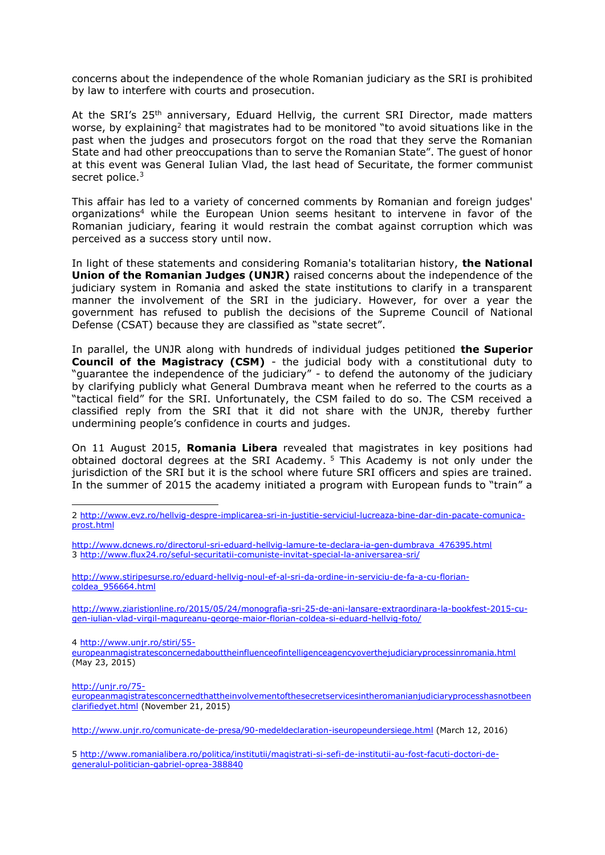concerns about the independence of the whole Romanian judiciary as the SRI is prohibited by law to interfere with courts and prosecution.

At the SRI's 25<sup>th</sup> anniversary, Eduard Hellvig, the current SRI Director, made matters worse, by explaining<sup>2</sup> that magistrates had to be monitored "to avoid situations like in the past when the judges and prosecutors forgot on the road that they serve the Romanian State and had other preoccupations than to serve the Romanian State". The guest of honor at this event was General Iulian Vlad, the last head of Securitate, the former communist secret police.<sup>3</sup>

This affair has led to a variety of concerned comments by Romanian and foreign judges' organizations<sup>4</sup> while the European Union seems hesitant to intervene in favor of the Romanian judiciary, fearing it would restrain the combat against corruption which was perceived as a success story until now.

In light of these statements and considering Romania's totalitarian history, **the National Union of the Romanian Judges (UNJR)** raised concerns about the independence of the judiciary system in Romania and asked the state institutions to clarify in a transparent manner the involvement of the SRI in the judiciary. However, for over a year the government has refused to publish the decisions of the Supreme Council of National Defense (CSAT) because they are classified as "state secret".

In parallel, the UNJR along with hundreds of individual judges petitioned **the Superior Council of the Magistracy (CSM)** - the judicial body with a constitutional duty to "guarantee the independence of the judiciary" - to defend the autonomy of the judiciary by clarifying publicly what General Dumbrava meant when he referred to the courts as a "tactical field" for the SRI. Unfortunately, the CSM failed to do so. The CSM received a classified reply from the SRI that it did not share with the UNJR, thereby further undermining people's confidence in courts and judges.

On 11 August 2015, **Romania Libera** revealed that magistrates in key positions had obtained doctoral degrees at the SRI Academy. <sup>5</sup> This Academy is not only under the jurisdiction of the SRI but it is the school where future SRI officers and spies are trained. In the summer of 2015 the academy initiated a program with European funds to "train" a

[http://www.ziaristionline.ro/2015/05/24/monografia-sri-25-de-ani-lansare-extraordinara-la-bookfest-2015-cu](http://www.ziaristionline.ro/2015/05/24/monografia-sri-25-de-ani-lansare-extraordinara-la-bookfest-2015-cu-gen-iulian-vlad-virgil-magureanu-george-maior-florian-coldea-si-eduard-hellvig-foto/)[gen-iulian-vlad-virgil-magureanu-george-maior-florian-coldea-si-eduard-hellvig-foto/](http://www.ziaristionline.ro/2015/05/24/monografia-sri-25-de-ani-lansare-extraordinara-la-bookfest-2015-cu-gen-iulian-vlad-virgil-magureanu-george-maior-florian-coldea-si-eduard-hellvig-foto/)

4 [http://www.unjr.ro/stiri/55-](http://www.unjr.ro/stiri/55-europeanmagistratesconcernedabouttheinfluenceofintelligenceagencyoverthejudiciaryprocessinromania.html)

[europeanmagistratesconcernedabouttheinfluenceofintelligenceagencyoverthejudiciaryprocessinromania.html](http://www.unjr.ro/stiri/55-europeanmagistratesconcernedabouttheinfluenceofintelligenceagencyoverthejudiciaryprocessinromania.html) (May 23, 2015)

[http://unjr.ro/75-](http://unjr.ro/75-europeanmagistratesconcernedthattheinvolvementofthesecretservicesintheromanianjudiciaryprocesshasnotbeenclarifiedyet.html)

-

[europeanmagistratesconcernedthattheinvolvementofthesecretservicesintheromanianjudiciaryprocesshasnotbeen](http://unjr.ro/75-europeanmagistratesconcernedthattheinvolvementofthesecretservicesintheromanianjudiciaryprocesshasnotbeenclarifiedyet.html) [clarifiedyet.html](http://unjr.ro/75-europeanmagistratesconcernedthattheinvolvementofthesecretservicesintheromanianjudiciaryprocesshasnotbeenclarifiedyet.html) (November 21, 2015)

<http://www.unjr.ro/comunicate-de-presa/90-medeldeclaration-iseuropeundersiege.html> (March 12, 2016)

5 [http://www.romanialibera.ro/politica/institutii/magistrati-si-sefi-de-institutii-au-fost-facuti-doctori-de](http://www.romanialibera.ro/politica/institutii/magistrati-si-sefi-de-institutii-au-fost-facuti-doctori-de-generalul-politician-gabriel-oprea-388840)[generalul-politician-gabriel-oprea-388840](http://www.romanialibera.ro/politica/institutii/magistrati-si-sefi-de-institutii-au-fost-facuti-doctori-de-generalul-politician-gabriel-oprea-388840)

<sup>2</sup> [http://www.evz.ro/hellvig-despre-implicarea-sri-in-justitie-serviciul-lucreaza-bine-dar-din-pacate-comunica](http://www.evz.ro/hellvig-despre-implicarea-sri-in-justitie-serviciul-lucreaza-bine-dar-din-pacate-comunica-prost.html)[prost.html](http://www.evz.ro/hellvig-despre-implicarea-sri-in-justitie-serviciul-lucreaza-bine-dar-din-pacate-comunica-prost.html)

[http://www.dcnews.ro/directorul-sri-eduard-hellvig-lamure-te-declara-ia-gen-dumbrava\\_476395.html](http://www.dcnews.ro/directorul-sri-eduard-hellvig-lamure-te-declara-ia-gen-dumbrava_476395.html) 3 <http://www.flux24.ro/seful-securitatii-comuniste-invitat-special-la-aniversarea-sri/>

[http://www.stiripesurse.ro/eduard-hellvig-noul-ef-al-sri-da-ordine-in-serviciu-de-fa-a-cu-florian](http://www.stiripesurse.ro/eduard-hellvig-noul-ef-al-sri-da-ordine-in-serviciu-de-fa-a-cu-florian-coldea_956664.html)[coldea\\_956664.html](http://www.stiripesurse.ro/eduard-hellvig-noul-ef-al-sri-da-ordine-in-serviciu-de-fa-a-cu-florian-coldea_956664.html)